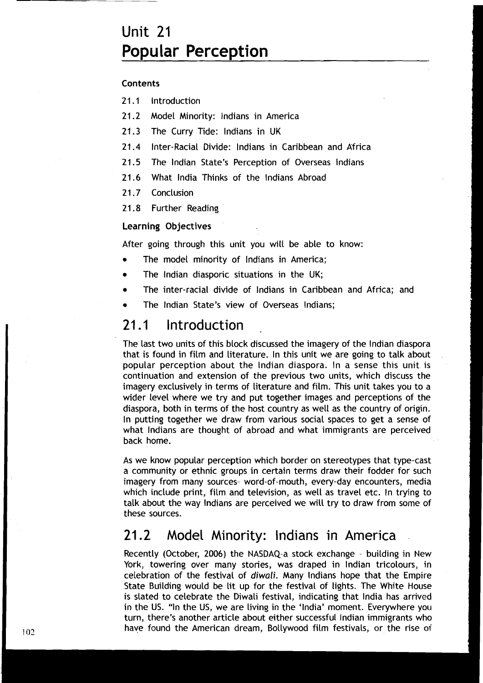# Unit 21 **Popular Perception**

## Contents

- **21.1** Introduction
- **21.2** Model Minority: lndians in America
- **21.3** The Curry Tide: lndians in UK
- **21.4** inter-Racial Divide: lndians in Caribbean and Africa
- **21.5** The lndian State's Perception of Overseas lndians
- **21.6** What lndia Thinks of the lndians Abroad
- **2 1 .7** Conclusion
- **21.8** Further Reading

## Learning Objectives

After going through this unit you will be able to know:

- The model minority of lndians in America;
- The lndian diasporic situations in the UK;  $\bullet$
- 'The inter-racial divide of lndians in Caribbean and Africa; and
- The lndian State's view of Overseas Indians;

#### Introduction **21.1**

The last two units of this block discussed the imagery of the lndian diaspora that is found in film and literature. In this unit we are going to talk about popular perception about the lndian diaspora. In a sense this unit is continuation and extension of the previous two units, which discuss the imagery exclusively in terms of literature and film. This unit takes you to a wider level where we try and put together images and perceptions of the diaspora, both in terms of the host country as well as the country of origin. In putting together we draw from various social spaces to get a sense of what lndians are thought of abroad and what immigrants are perceived back home.

As we know popular perception which border on stereotypes that type-cast a community or ethnic groups in certain terms draw their fodder for such imagery from many sources- word-of-mouth, every-day encounters, media which include print, film and television, as well as travel etc. In trying to talk about the way lndians are perceived we will try to draw from some of these sources.

## 21.2 Model Minority: lndians in America

Recently (October, **2006)** the NASDAQ-a stock exchange - building in New York, towering over many stories, was draped in Indian tricolours, in celebration of the festival of **diwali.** Many lndians hope that the Empire State Building would be lit up for the festival of lights. The White House is slated to celebrate the Diwali festival, indicating that lndia has arrived in the US. "In the US, we are living in the 'India' moment. Everywhere you turn, there's another article about either successful lndian immigrants who have found the American dream, Bollywood film festivals, or the rise of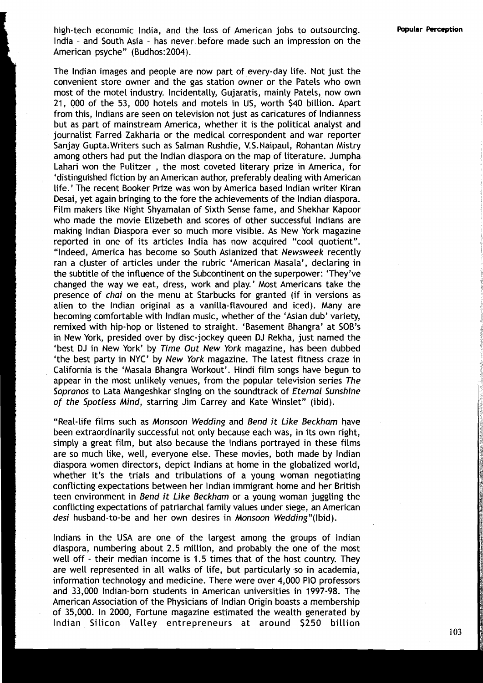high-tech economic India, and the loss of American jobs to outsourcing. lndia - and South Asia - has never before made such an impression on the American psyche" (Budhos: 2004).

The lndian images and people are now part of every-day life. Not just the convenient store owner and the gas station owner or the Patels who own most of the motel industry. Incidentally, Gujaratis, mainly Patels, now own 21, 000 of the 53, 000 hotels and motels in US, worth \$40 billion. Apart from this, lndians are seen on television not just as caricatures of lndianness but as part of mainstream America, whether it is the political analyst and journalist Farred Zakharia or the medical correspondent and war reporter Sanjay Gupta.Writers such as Salman Rushdie, V.S.Naipaul, Rohantan Mistry among others had put the lndian diaspora on the map of literature. Jumpha Lahari won the Pulitzer , the most coveted literary prize in America, for 'distinguished fiction by an American author, preferably dealing with American life.' The recent Booker Prize was won by America based lndian writer Kiran Desai, yet again bringing to the fore the achievements of the lndian diaspora. Film makers like Night Shyamalan of Sixth Sense fame, and Shekhar Kapoor who made the movie Elizebeth and scores of other successful lndians are making lndian Diaspora ever so much more visible. As New York magazine reported in one of its articles lndia has now acquired "cool quotient". "Indeed, America has become so South Asianized that **Newsweek** recently ran a cluster of articles under the rubric 'American Masala', declaring in the subtitle of the influence of the Subcontinent on the superpower: 'They've changed the way we eat, dress, work and play.' Most Americans take the presence of **chai** on the menu at Starbucks for granted (if in versions as alien to the lndian original as a vanilla-flavoured and iced). Many are becoming comfortable with lndian music, whether of the 'Asian dub' variety, remixed with hip-hop or listened to straight. 'Basement Bhangra' at SOB'S in New York, presided over by disc-jockey queen DJ Rekha, just named the 'best DJ in New York' by **Time Out New York** magazine, has been dubbed 'the best party in NYC' by **New York** magazine. The latest fitness craze in California is the 'Masala Bhangra Workout'. Hindi film songs have begun to appear in the most unlikely venues, from the popular television series **The Sopranos** to Lata Mangeshkar singing on the soundtrack of **Eternal Sunshine of the Spotless Mind,** starring Jim Carrey and Kate Winslet" (ibid).

"Real-life films such as **Monsoon Wedding** and **Bend it Like Beckham** have been extraordinarily successful not only because each was, in its own right, simply a great film, but also because the lndians portrayed in these films are so much like, well, everyone else. These movies, both made by lndian diaspora women directors, depict lndians at home in the globalized world, whether it's the trials and tribulations of a young woman negotiating conflicting expectations between her lndian immigrant home and her British teen environment in **Bend it Like Beckham** or a young woman juggling the conflicting expectations of patriarchal family values under siege, an American **desi** husband-to-be and her own desires in **Monsoon Wedding"(1bid).** 

lndians in the USA are one of the largest among the groups of lndian diaspora, numbering about 2.5 million, and probably the one of the most well off - their median income is 1.5 times that of the host country. They are well represented in all walks of life, but particularly so in academia, information technology and medicine. There were over 4,000 PI0 professors and 33,000 Indian-born students in American universities in 1997-98. The American Association of the Physicians of lndian Origin boasts a membership of 35,000. In 2000, Fortune magazine estimated the wealth generated by Indian Silicon Valley entrepreneurs at around \$250 billion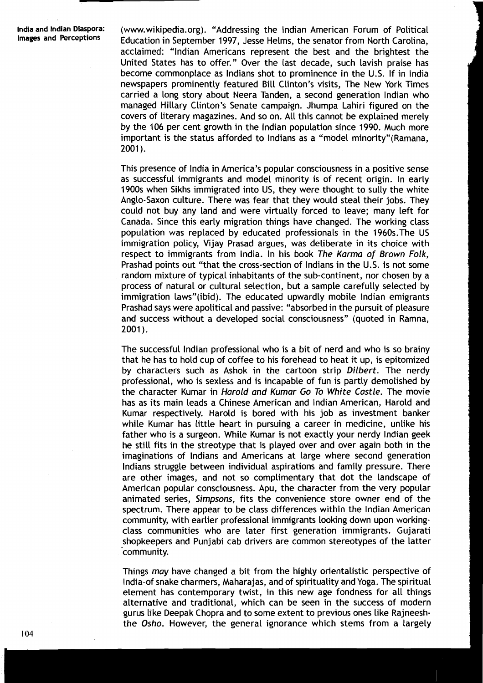**India and Indian Diaspora:** (www.wikipedia.org). "Addressing the Indian American Forum of Political<br>Images and Perceptions Folucation in Sentember 1997, Jesse Helms, the senator from North Carolina **Images and Perceptions** Education in September 1997, Jesse Helms, the senator from North Carolina, acclaimed: "lndian Americans represent the best and the brightest the United States has to offer." Over the last decade, such lavish praise has become commonplace as lndians shot to prominence in the U.S. If in lndia newspapers prominently featured Bill Clinton's visits, The New York Times carried a Long story about Neera Tanden, a second generation lndian who managed Hillary Clinton's Senate campaign. Jhumpa Lahiri figured on the covers of literary magazines. And so on. All this cannot be explained merely by the 106 per cent growth in the lndian population since 1990. Much more important is the status afforded to Indians as a "model minority" (Ramana,  $2001$ .

> This presence of lndia in America's popular consciousness in a positive sense as successful immigrants and model minority is of recent origin. In early 1900s when Sikhs immigrated into US, they were thought to sully the white Anglo-Saxon culture. There was fear that they would steal their jobs. They could not buy any land and were virtually forced to leave; many left for Canada. Since this early migration things have changed. The working class population was replaced by educated professionals in the 1960s.The US immigration policy, Vijay Prasad argues, was deliberate in its choice with respect to immigrants from India. In his book The Karma of Brown Folk, Prashad points out "that the cross-section of lndians in the U.S. is not some random mixture of typical inhabitants of the sub-continent, nor chosen by a process of natural or cultural selection, but a sample carefully selected by immigration laws"(ibid). The educated upwardly mobile Indian emigrants Prashad says were apolitical and passive: "absorbed in the pursuit of pleasure and success without a developed social consciousness" (quoted in Ramna, 2001).

> The successful lndian professional who is a bit of nerd and who is so brainy that he has to hold cup of coffee to his forehead to heat it up, is epitomized by characters such as Ashok in the cartoon strip Dilbert. The nerdy professional, who is sexless and is incapable of fun is partly demolished by the character Kumar in Harold and Kumar Go To White Castle. The movie has as its main leads a Chinese American and lndian American, Harold and Kumar respectively. Harold is bored with his job as investment banker while Kumar has little heart in pursuing a career in medicine, unlike his father who is a surgeon. While Kumar is not exactly your nerdy lndian geek he still fits in the streotype that is played over and over again both in the imaginations of lndians and Americans at large where second generation lndians struggle between individual aspirations and family pressure. There are other images, and not so complimentary that dot the landscape of American popular consciousness. Apu, the character from the very popular animated series, Simpsons, fits the convenience store owner end of the spectrum. There appear to be class differences within the lndian American community, with earlier professional immigrants looking down upon workingclass communities who are later first generation immigrants. Gujarati shopkeepers and Punjabi cab drivers are common stereotypes of the latter 'community.

> Things may have changed a bit from the highly orientalistic perspective of India-of snake charmers, Maharajas, and of spirituality and Yoga. The spiritual element has contemporary twist, in this new age fondness for all things alternative and traditional, which can be seen in the success of modern gurus like Deepak Chopra and to some extent to previous ones like Rajneeshthe Osho. However, the general ignorance which stems from a largely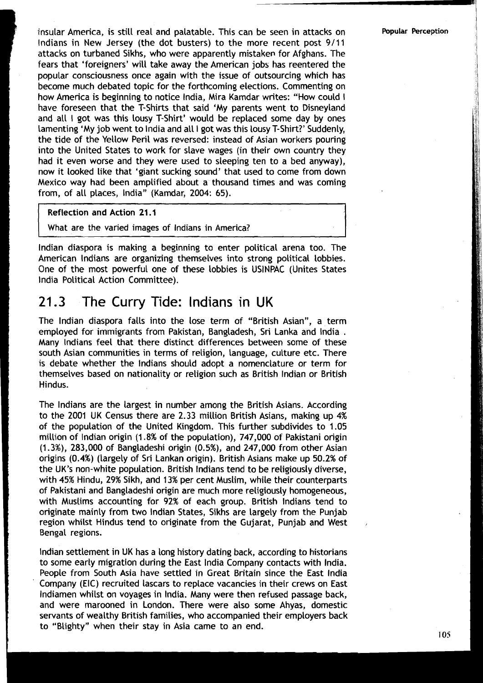insular America, is still real and palatable. This can be seen in attacks on **Popular Perception** lndians in New Jersey (the dot busters) to the more recent post 9/11 attacks on turbaned Sikhs, who were apparently mistaken for Afghans. The fears that 'foreigners' will take away the American jobs has reentered the popular consciousness once again with the issue of outsourcing which has become much debated topic for the forthcoming elections. Commenting on how America is beginning to notice India, Mira Kamdar writes: "How could I have foreseen that the T-shirts that said 'My parents went to Disneyland and all I got was this lousy T-shirt' would be replaced some day by ones lamenting 'My job went to lndia and all I got was this lousy T-shirt?' Suddenly, the tide of the Yellow Peril was reversed: instead of Asian workers pouring into the United States to work for slave wages (in their own country they had it even worse and they were used to sleeping ten to a bed anyway), now it looked like that 'giant sucking sound' that used to come from down Mexico way had been amplified about a thousand times and was coming from, of all places, India" (Kamdar, 2004: 65).

Reflection and Action 21.1

What are the varied images of lndians in America?

lndian diaspora is making a beginning to enter political arena too. The American lndians are organizing themselves into strong political lobbies. One of the most powerful one of these lobbies is USINPAC (Unites States lndia Political Action Committee).

### The Curry Tide: lndians in UK 21.3

The lndian diaspora falls into the lose term of "British Asian", a term employed for immigrants from Pakistan, Bangladesh, Sri Lanka and India .<br>Many Indians feel that there distinct differences between some of these south Asian communities in terms of religion, language, culture etc. There is debate whether the lndians should adopt a nomenclature or term for themselves based on nationality or religion such as British lndian or British Hindus.

The lndians are the largest in number among the British Asians. According to the 2001 UK Census there are 2.33 million British Asians, making up 4% of the population of the United Kingdom. This further subdivides to 1.05 million of lndian origin (1.8% of the population), 747,000 of Pakistani origin (1.3%), 283,000 of Bangladeshi origin (0.5%), and 247,000 from other Asian origins (0.4%) (largely of Sri Lankan origin). British Asians make up 50.2% of the UK's non-white population. British lndians tend to be religiously diverse, with 45% Hindu, 29% Sikh, and 13% per cent Muslim, while their counterparts of Pakistani and Bangladeshi origin are much more religiously homogeneous, with Muslims accounting for 92% of each group. British lndians tend to originate mainly from two lndian States, Sikhs are largely from the Punjab region whilst Hindus tend to originate from the Gujarat, Punjab and West Bengal regions.

lndian settlement in UK has a long history dating back, according to historians to some early migration during the East lndia Company contacts with India. People from South Asia have settled in Great Britain since the East lndia Company (EIC) recruited lascars to replace vacancies in their crews on East lndiamen whilst on voyages in India. Many were then refused passage back, and were marooned in London. There were also some Ahyas, domestic servants of wealthy British families, who accompanied their employers back to "Blighty" when their stay in Asia came to an end.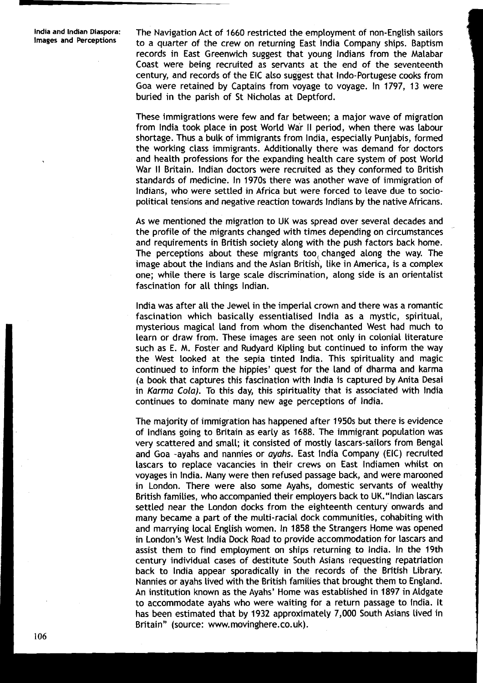**India and Indian Diaspora:** The Navigation Act of 1660 restricted the employment of non-English sailors to a quarter of the crew on returning East India Company ships. Baptism records in East Greenwich suggest that young lndians from the Malabar Coast were being recruited as servants at the end of the seventeenth century, and records of the EIC also suggest that Indo-Portugese cooks from Goa were retained by Captains from voyage to voyage. In 1797, 13 were buried in the parish of St Nicholas at Deptford.

> These immigrations were few and far between; a major wave of migration from lndia took place in post World War II period, when there was labour shortage. Thus a bulk of immigrants from India, especially Punjabis, formed the working class immigrants. Additionally there was demand for doctors and health professions for the expanding health care system of post World War II Britain. Indian doctors were recruited as they conformed to British standards of medicine. In 1970s there was another wave of immigration of Indians, who were settled in Africa but were forced to leave due to sociopolitical tensions and negative reaction towards lndians by the native Africans.

> As we mentioned the migration to UK was spread over several decades and the profile of the migrants changed with times depending on circumstances and requirements in British society along with the push factors back home. The perceptions about these migrants too, changed along the way. The image about the lndians and the Asian British, like in America, is a complex one; while there is large scale discrimination, along side is an orientalist fascination for all things Indian.

> lndia was after all the Jewel in the imperial crown and there was a romantic fascination which basically essentialised lndia as a mystic, spiritual, mysterious magical land from whom the disenchanted West had much to learn or draw from. These images are seen not only in colonial literature such as E. M. Foster and Rudyard Kipling but continued to inform the way the West looked at the sepia tinted India. 'This spirituality and magic continued to inform the hippies' quest for the land of dharma and karma (a book that captures this fascination with lndia is captured by Anita Desai in Karma Cola). To this day, this spirituality that is associated with lndia continues to dominate many new age perceptions of India.

> The majority of immigration has happened after 1950s but there is evidence of lndians going to Britain as early as 1688. The immigrant population was very scattered and small; it consisted of mostly lascars-sailors from Bengal and Goa -ayahs and nannies or ayahs. East lndia Company (EIC) recruited lascars to replace vacancies in their crews on East lndiamen whilst on voyages in India. Many were then refused passage back, and were marooned in London. There were also some Ayahs, domestic servants of wealthy British families, who accompanied their employers back to UK."lndian lascars settled near the London docks from the eighteenth century onwards and many became a part of the multi-racial dock communities, cohabiting with and marrying local English women. In 1858 the Strangers Home was opened in London's West lndia Dock Road to provide accommodation for lascars and assist them to find employment on ships returning to India. In the 19th century individual cases of destitute South Asians requesting repatriation back to lndia appear sporadically in the records of the British Library. Nannies or ayahs lived with the British families that brought them to England. An institution known as the Ayahs' Home was established in 1897 in Aldgate to accommodate ayahs who were waiting for a return passage to India. It has been estimated that by 1932 approximately 7,000 South Asians lived in Britain" (source: www.movinghere.co.uk).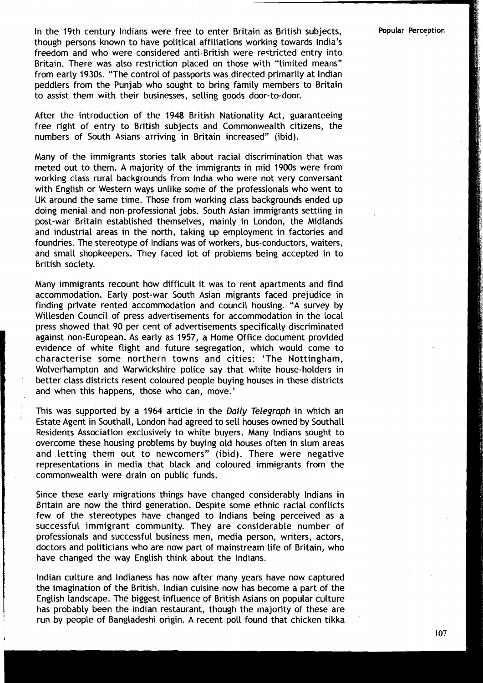In the 19th century lndians were free to enter Britain as British subjects, though persons known to have political affiliations working towards India's freedom and who were considered anti-British were restricted entry into Britain. There was also restriction placed on those with "limited means" from early 1930s. "The control of passports was directed primarily at lndian peddlers from the Punjab who sought to bring family members to Britain to assist them with their businesses, selling goods door-to-door.

After the introduction of the 1948 British Nationality Act, guaranteeing free right of entry to British subjects and Commonwealth citizens, the numbers of South Asians arriving in Britain increased" (ibid).

Many of the immigrants stories talk about racial discrimination that was meted out to them. A majority of the immigrants in mid 1900s were from working class rural backgrounds from India who were not very conversant with English or Western ways unlike some of the professionals who went to UK around the same time. Those from working class backgrounds ended up doing menial and non-professional jobs. South Asian immigrants settling in post-war Britain established themselves, mainly in London, the Midlands and industrial areas in the north, taking up employment in factories and foundries. The stereotype of lndians was of workers, bus-conductors, waiters, and small shopkeepers. They faced lot of problems being accepted in to British society.

Many immigrants recount how difficult it was to rent apartments and find accommodation. Early post-war South Asian migrants faced prejudice in finding private rented accommodation and council housing. "A survey by Willesden Council of press advertisements for accommodation in the local press showed that 90 per cent of advertisements specifically discriminated against non-European. As early as 1957, a Home Office document provided evidence of white flight and future segregation, which would come to characterise some northern towns and cities: 'The Nottingham, Wolverhampton and Warwickshire police say that white house-holders in better class districts resent coloured people buying houses in these districts and when this happens, those who can, move.'

This was supported by a 1964 article in the Daily Telegraph in which an Estate Agent in Southall, London had agreed to sell houses owned by Southall Residents Association exclusively to white buyers. Many lndians sought to overcome these housing problems by buying old houses often in slum areas and letting them out to newcomers" (ibid). There were negative representations in media that black and coloured immigrants from the commonwealth were drain on public funds.

Since these early migrations things have changed considerably lndians in Britain are now the third generation. Despite some ethnic racial conflicts few of the stereotypes have changed to lndians being perceived as a successful immigrant community. They are considerable number of professionals and successful business men, media person, writers, actors, doctors and politicians who are now part of mainstream life of Britain, who have changed the way English think about the Indians.

lndian culture and lndianess has now after many years have now captured the imagination of the British. lndian cuisine now has become a part of the English landscape. The biggest influence of British Asians on popular culture has probably been the lndian restaurant, though the majority of these are run by people of Bangladeshi origin. A recent poll found that chicken tikka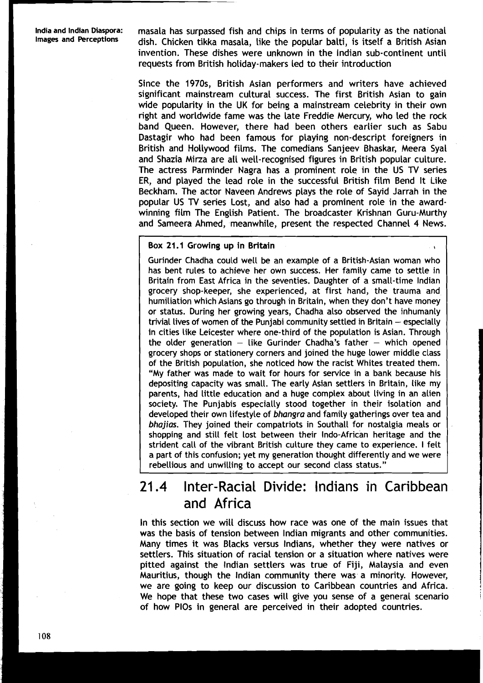India and Indian Diaspora: masala has surpassed fish and chips in terms of popularity as the national<br>Images and Perceptions dish. Chicken tikka masala, like the popular balti, is itself a British Asian<br>invention. These di Images and Perceptions http: Aish. Chicken tikka masala, like the popular balti, is itself a British Asian invention. These dishes were unknown in the lndian sub-continent until requests from British holiday-makers led to their introduction

Since the 1970s, British Asian performers and writers have achieved significant mainstream cultural success. The first British Asian to gain wide popularity in the UK for being a mainstream celebrity in their own right and worldwide fame was the late Freddie Mercury, who led the rock band Queen. However, there had been others earlier such as Sabu Dastagir who had been famous for playing non-descript foreigners in British and Hollywood films. The comedians Sanjeev Bhaskar, Meera Syal and Shazia Mirza are all well-recognised figures in British popular culture. The actress Parminder Nagra has a prominent role in the US TV series ER, and played the lead role in the successful British film Bend It Like Beckham. The actor Naveen Andrews plays the role of Sayid Jarrah in the popular US TV series Lost, and also had a prominent role in the awardwinning film 'The English Patient. The broadcaster Krishnan Guru-Murthy and Sameera Ahmed, meanwhile, present the respected Channel 4 News.

### Box 21.1 Growing up in Britain **<sup>I</sup>**

Gurinder Chadha could well be an example of a British-Asian woman who has bent rules to achieve her own success. Her family came to settle in Britain from East Africa in the seventies. Daughter of a small-time lndian grocery shop-keeper, she experienced, at first hand, the trauma and humiliation which Asians go through in Britain, when they don't have money or status. During her growing years, Chadha also observed the inhumanly trivial lives of women of the Punjabi community settled in Britain  $-$  especially in cities like Leicester where one-third of the population is Asian. Through the older generation  $-$  like Gurinder Chadha's father  $-$  which opened grocery shops or stationery corners and joined the huge lower middle class of the British population, she noticed how the racist Whites treated them. "My father was made to wait for hours for service in a bank because his depositing capacity was small. The early Asian settlers in Britain, like my parents, had little education and a huge complex about living in an alien society. The Punjabis especially stood together in their isolation and developed their own lifestyle of **bhangra** and family gatherings over tea and **bhajias.** They joined their compatriots in Southall for nostalgia meals or shopping and still felt lost between their Indo-African heritage and the strident call of the vibrant British culture they came to experience. I felt a part of this confusion; yet my generation thought differently and we were rebellious and unwilling to accept our second class status."

# 21.4 Inter-Racial Divide: Indians in Caribbean and Africa

In this section we will discuss how race was one of the main issues that was the basis of tension between lndian migrants and other communities. Many times it was Blacks versus Indians, whether they were natives or settlers. This situation of racial tension or a situation where natives were pitted against the lndian settlers was true of Fiji, Malaysia and even Mauritius, though the lndian community there was a minority. However, we are going to keep our discussion to Caribbean countries and Africa. We hope that these two cases will give you sense of a general scenario of how PlOs in general are perceived in their adopted countries.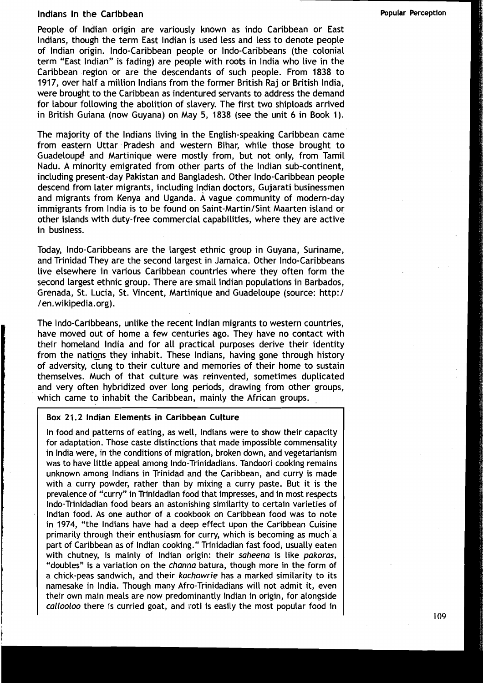## Indians In the Caribbean **Popular Perception Popular Perception**

People of lndian origin are variously known as indo Caribbean or East Indians, though the term East lndian is used less and less to denote people of lndian origin. Indo-Caribbean people or Indo-Caribbeans (the colonial term "East Indian" is fading) are people with roots in lndia who live in the Caribbean region or are the descendants of such people. From 1838 to 1917, over half a million lndians from the former British Raj or British India, were brought to the Caribbean as indentured servants to address the demand for labour following the abolition of slavery. The first two shiploads arrived in British Guiana (now Guyana) on May 5, 1838 (see the unit 6 in Book 1).

The majority of the lndians living in the English-speaking Caribbean came from eastern Uttar Pradesh and western Bihar, while those brought to Guadeloupe and Martinique were mostly from, but not only, from Tamil Nadu. A minority emigrated from other parts of the lndian sub-continent, including present-day Pakistan and Bangladesh. Other Indo-Caribbean people descend from later migrants, including lndian doctors, Gujarati businessmen and migrants from Kenya and Uganda. A vague community of modern-day immigrants from India is to be found on Saint-Martin/Sint Maarten island or other islands with duty-free commercial capabilities, where they are active in business.

Today, Indo-Caribbeans are the largest ethnic group in Guyana, Suriname, and Trinidad They are the second largest in Jamaica. Other Indo-Caribbeans live elsewhere in various Caribbean countries where they often form the second largest ethnic group. There are small lndian populations in Barbados, Grenada, St. Lucia, St. Vincent, Martinique and Guadeloupe (source: http:/ /en.wikipedia.org).

The Indo-Caribbeans, unlike the recent lndian migrants to western countries, have moved out of home a few centuries ago. They have no contact with their homeland lndia and for all practical purposes derive their identity from the nations they inhabit. These Indians, having gone through history of adversity, clung to their culture and memories of their home to sustain themselves. Much of that culture was reinvented, sometimes duplicated and very often hybridized over long periods, drawing from other groups, which came to inhabit the Caribbean, mainly the African groups.

## Box 21.2 lndian Elements in Caribbean Culture

In food and patterns of eating, as well, lndians were to show their capacity for adaptation. Those caste distinctions that made impossible commensality in lndia were, in the conditions of migration, broken down, and vegetarianism was to have little appeal among Indo-Trinidadians. Tandoori cooking remains unknown among lndians in Trinidad and the Caribbean, and curry is made with a curry powder, rather than by mixing a curry paste. But it is the prevalence of "curry" in Trinidadian food that impresses, and in most respects Indo-Trinidadian food bears an astonishing similarity to certain varieties of lndian food. As one author of a cookbook on Caribbean food was to note in 1974, "the lndians have had a deep effect upon the Caribbean Cuisine primarily through their enthusiasm for curry, which is becoming as much'a part of Caribbean as of lndian cooking." Trinidadian fast food, usually eaten with chutney, is mainly of Indian origin: their saheena is like pakoras, "doubles" is a variation on the channa batura, though more in the form of a chick-peas sandwich, and their kachowrie has a marked similarity to its namesake in India. Though many Afro-Trinidadians will not admit it, even their own main meals are now predominantly lndian in origin, for alongside callooloo there is curried goat, and roti is easily the most popular food in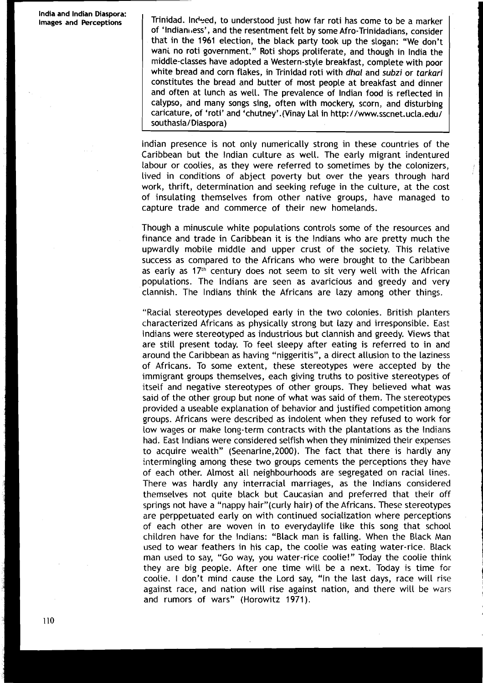Trinidad. Indeed, to understood just how far roti has come to be a marker of 'Indianivess', and the resentment felt by some Afro-Trinidadians, consider that in the **1961** election, the black party took up the slogan: "We don't wani no roti government." Roti shops proliferate, and though in lndia the middle-classes have adopted a Western-style breakfast, complete with poor white bread and corn flakes, in Trinidad roti with **dhal** and **subzi** or **tarkari**  constitutes the bread and butter of most people at breakfast and dinner and often at lunch as well. The prevalence of lndian food is reflected in calypso, and many songs sing, often with mockery, scorn, and disturbing caricature, of 'roti' and 'chutney'.(Vinay La1 in http://www.sscnet.ucla.edu/ southasia/ Diaspora)

lndian presence is not only numerically strong in these countries of the Caribbean but the lndian culture as well. The early migrant indentured labour or coolies, as they were referred to sometimes by the colonizers, lived in conditions of abject poverty but over the years through hard work, thrift, determination and seeking refuge in the culture, at the cost of insulating themselves from other native groups, have managed to capture trade and commerce of their new homelands.

Though a minuscule white populations controls some of the resources and finance and trade in Caribbean it is the lndians who are pretty much the upwardly mobile middle and upper crust of the society. This relative success as compared to the Africans who were brought to the Caribbean as early as  $17<sup>th</sup>$  century does not seem to sit very well with the African populations. The lndians are seen as avaricious and greedy and very clannish. The lndians think the Africans are lazy among other things.

"Racial stereotypes developed early in the two colonies. British planters characterized Africans as physically strong but lazy and irresponsible. East lndians were stereotyped as industrious but clannish and greedy. Views that are still present today. To feel sleepy after eating is referred to in and around the Caribbean as having "niggeritis", a direct allusion to the laziness of Africans. To some extent, these stereotypes were accepted by the immigrant groups themselves, each giving truths to positive stereotypes of itseif and negative stereotypes of other groups. They believed what was said of the other group but none of what was said of them. The stereotypes provided a useable explanation of behavior and justified competition among groups. Africans were described as indolent when they refused to work for low wages or make long-term contracts with the plantations as the Indians had. East lndians were considered selfish when they minimized their expenses to acquire wealth" (Seenarine,2000). The fact that there is hardly any intermingling among these two groups cements the perceptions they have of each other. Almost all neighbourhoods are segregated on racial lines. There was hardly any interracial marriages, as the lndians considered themselves not quite black but Caucasian and preferred that their off springs not have a "nappy hair"(curly hair) of the Africans. These stereotypes are perppetuated early on with continued socialization where perceptions of each other are woven in to everydaylife like this song that school children have for the Indians: "Black man is falling. When the Black Man used to wear feathers in his cap, the coolie was eating water-rice. Black man used to say, "Go way, you water-rice coolie!" Today the coolie think they are big people. After one time will be a next. Today is time for coolie. I don't mind cause the Lord say, "In the last days, race will rise against race, and nation will rise against nation, and there will be wars and rumors of wars" (Horowitz 1971).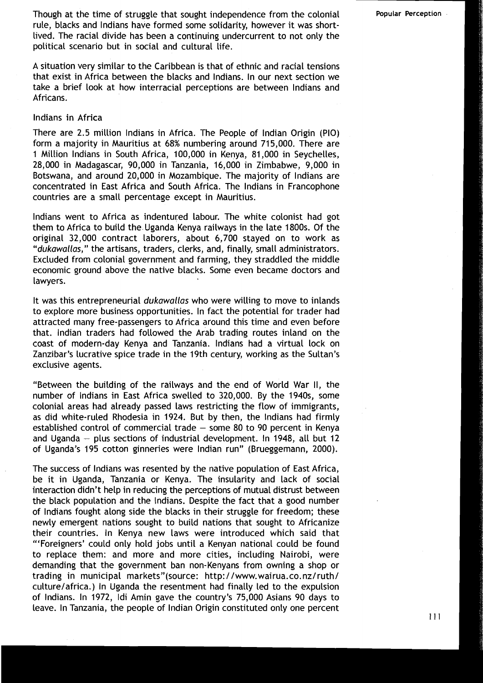Though at the time of struggle that sought independence from the colonial **Popular Perception** rule, blacks and lndians have formed some solidarity, however it was shortlived. The racial divide has been a continuing undercurrent to not only the political scenario but in social and cultural life.

A situation very similar to the Caribbean is that of ethnic and racial tensions that exist in Africa between the blacks and Indians. In our next section we take a brief look at how interracial perceptions are between lndians and Africans.

### lndians in Africa

There are 2.5 million lndians in Africa. The People of lndian Origin (PIO) form a majority in Mauritius at 68% nunibering around 715,000. There are 1 Million lndians in South Africa, 100,000 in Kenya, 81,000 in Seychelles, 28,000 in Madagascar, 90,000 in Tanzania, 16,000 in Zimbabwe, 9,000 in Botswana, and around 20,000 in Mozambique. The majority of lndians are concentrated in East Africa and South Africa. The lndians in Francophone countries are a small percentage except in Mauritius.

lndians went to Africa as indentured labour. The white colonist had got them to Africa to build the.Uganda Kenya railways in the late 1800s. Of the original 32,000 contract laborers, about 6,700 stayed on to work as "dukawallas," the artisans, traders, clerks, and, finally, small administrators. Excluded from colonial government and farming, they straddled the middle economic ground above the native blacks. Some even became doctors and lawyers.

It was this entrepreneurial dukawallas who were willing to move to inlands to explore more business opportunities. In fact the potential for trader had attracted many free-passengers to Africa around this time and even before that. Indian traders had followed the Arab trading routes inland on the coast of modern-day Kenya and Tanzania. lndians had a virtual lock on Zanzibar's lucrative spice trade in the 19th century, working as the Sultan's exclusive agents.

"Between the building of the railways and the end of World War II, the number of lndians in East Africa swelled to 320,000. By the 1940s, some colonial areas had already passed laws restricting the flow of immigrants, as did white-ruled Rhodesia in 1924. But by then, the lndians had firmly established control of commercial trade  $-$  some 80 to 90 percent in Kenya and Uganda  $-$  plus sections of industrial development. In 1948, all but 12 of Uganda's 195 cotton ginneries were lndian run" (Brueggemann, 2000).

The success of lndians was resented by the native population of East Africa, be it in Uganda, Tanzania or Kenya. The insularity and lack of social interaction didn't help in reducing the perceptions of mutual distrust between the black population and the Indians. Despite the fact that a good number of lndians fought along side the blacks in their struggle for freedom; these newly emergent nations sought to build nations that sought to Africanize their countries. In Kenya new laws were introduced which said that '"Foreigners' could only hold jobs until a Kenyan national could be found to replace them: and more and more cities, including Nairobi, were demanding that the government ban non-Kenyans from owning a shop or trading in municipal markets"(source: http://www.wairua.co.nz/ruth/ culture/africa.) In Uganda the resentment had finally led to the expulsion of Indians. In 1972, Idi Amin gave the country's 75,000 Asians 90 days to leave. In Tanzania, the people of Indian Origin constituted only one percent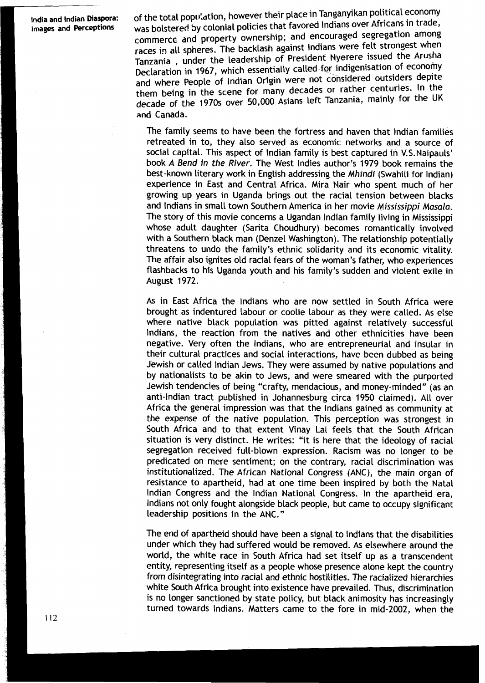India and Indian Diaspora: **of the total population, however their place in Tanganyikan political economy**<br>Images and Perceptions was bolstered by colonial policies that favored Indians over Africans in trade, was bolstered by colonial policies that favored Indians over Africans in trade, commerce and property ownership; and encouraged segregation among races in all spheres. The backlash against Indians were felt strongest when Tanzania , under the leadership of President Nyerere issued the Declaration in 1967, which essentially called for indigenisation of economy and where People of Indian Origin were not considered outsiders depite them being in the scene for many decades or rather centuries. In the decade of the 1970s over 50,000 Asians left Tanzania, mainly for the UK and Canada.

> The family seems to have been the fortress and haven that lndian families retreated in to, they also served as economic networks and a source of social capital. This aspect of lndian family is best captured in V.S.Naipauls' book A **Bend in the River.** The West lndies author's 1979 book remains the best-known literary work in English addressing the **Mhindi** (Swahili for Indian) experience in East and Central Africa. Mira Nair who spent much of her growing up years in Uganda brings out the racial tension between blacks and lndians in small town Southern America in her movie **Mississippi Masala.**  The story of this movie concerns a Ugandan lndian family living in Mississippi whose adult daughter (Sarita Choudhury) becomes romantically involved with a Southern black man (Denzel Washington). The relationship potentially threatens to undo the family's ethnic solidarity and its economic vitality. The affair also ignites old racial fears of the woman's father, who experiences flashbacks to his Uganda youth and his family's sudden and violent exile in August 1972.

> As in East Africa the lndians who are now settled in South Africa were brought as indentured labour or coolie labour as they were called. As else where native black population was pitted against relatively successful Indians, the reaction from the natives and other ethnicities have been negative. Very often the Indians, who are entrepreneurial and insular in their cultural practices and social interactions, have been dubbed as being Jewish or called lndian Jews. They were assumed by native populations and by nationalists to be akin to Jews, and were smeared with the purported Jewish tendencies of being "crafty, mendacious, and money-minded" (as an anti-Indian tract published in Johannesburg circa 1950 claimed). All over Africa the general impression was that the lndians gained as community at the expense of the native population. This perception was strongest in South Africa and to that extent Vinay Lal feels that the South African situation is very distinct. He writes: "it is here that the ideology of racial segregation received full-blown expression. Racism was no longer to be predicated on mere sentiment; on the contrary, racial discrimination was institutionalized. The African National Congress (ANC), the main organ of resistance to apartheid, had at one time been inspired by both the Natal lndian Congress and the lndian National Congress. In the apartheid era, lndians not only fought alongside black people, but came to occupy significant leadership positions in the ANC."

> The end of apartheid should have been a signal to lndians that the disabilities under which they had suffered would be removed. As elsewhere around the world, the white race in South Africa had set itself up as a transcendent entity, representing itself as a people whose presence alone kept the country from disintegrating into racial and ethnic hostilities. The racialized hierarchies white South Africa brought into existence have prevailed. Thus, discrimination is no longer sanctioned by state policy, but black animosity has increasingly turned towards Indians. Matters came to the fore in mid-2002, when the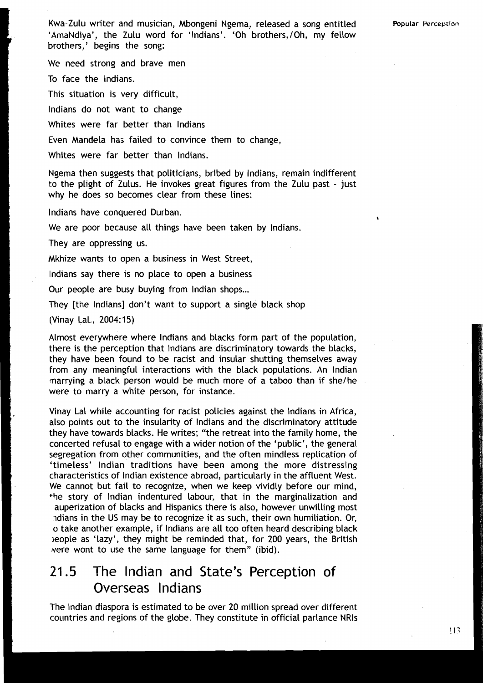Kwa-Zulu writer and musician, Mbongeni Ngema, released a song entitled **Popular krceptian <sup>r</sup>**'AmaNdiya', the Zulu word for 'Indians'. 'Oh brothers,/Oh, my fellow brothers,' begins the song:

We need strong and brave men

To face the Indians.

This situation is very difficult,

lndians do not want to change

Whites were far better than lndians

Even Mandela has failed to convince them to change,

Whites were far better than Indians.

Ngema then suggests that politicians, bribed by Indians, remain indifferent to the plight of Zulus. He invokes great figures from the Zulu past - just why he does so becomes clear from these lines:

lndians have conquered Durban.

We are poor because all things have been taken by Indians.

They are oppressing us.

Mkhize wants to open a business in West Street,

Indians say there is no place to open a business

Our people are busy buying from Indian shops...

They [the Indians] don't want to support a single black shop

(Vinay LaL, 2004: 15)

Almost everywhere where lndians and blacks form part of the population, there is the perception that lndians are discriminatory towards the blacks, they have been found to be racist and insular shutting themselves away from any meaningful interactions with the black populations. An lndian marrying a black person would be much more of a taboo than if she/he were to marry a white person, for instance.

Vinay Lal while accounting for racist policies against the lndians in Africa, also points out to the insularity of lndians and the discriminatory attitude they have towards blacks. He writes; "the retreat into the family home, the concerted refusal to engage with a wider notion of the 'public', the general segregation from other communities, and the often mindless replication of 'timeless' lndian traditions have been among the more distressing **<sup>I</sup>**characteristics of Indian existence abroad, particularly in the affluent West. We cannot but fail to recognize, when we keep vividly before our mind, I ++e story of Indian indentured labour, that in the marginalization and auperization of blacks and Hispanics there is also, however unwilling most Idians in the US may be to recognize it as such, their own humiliation. Or, o take another example, if lndians are all too often heard describing black leople as 'lazy', they might be reminded that, for 200 years, the British were wont to use the same language for them" (ibid).

## 21.5 The lndian and State's Perception of Overseas lndians

The lndian diaspora is estimated to be over 20 million spread over different countries and regions of the globe. They constitute in official parlance NRls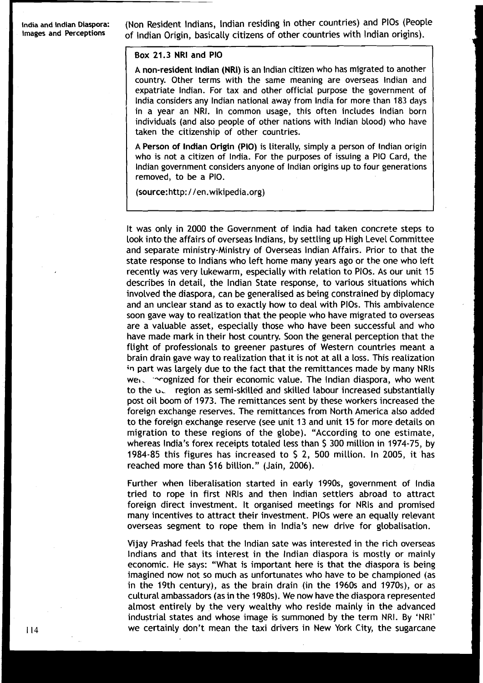India and Indian Diaspora: *(Non Resident Indians, Indian residing in other countries) and PIOs (People Images and Perceptions of Indian Origin, basically citizens of other countries with Indian origins).* 

### Box 21.3 NRI and PI0

A non-resident lndian (NRI) is an lndian citizen who has migrated to another country. Other terms with the same meaning are overseas lndian and expatriate Indian. For tax and other official purpose the government of lndia considers any lndian national away from lndia for more than 183 days in a year an NRI. In common usage, this often includes lndian born individuals (and also people of other nations with lndian blood) who have taken the citizenship of other countries.

A Person of lndian Origin (PIO) is literally, simply a person of lndian origin who is not a citizen of India. For the purposes of issuing a PI0 Card, the lndian government considers anyone of lndian origins up to four generations removed, to be a PIO.

(source:http: / 1en.wikipedia.org)

It was only in 2000 the Government of lndia had taken concrete steps to look into the affairs of overseas Indians, by settling up High Level Committee and separate ministry-Ministry of Overseas lndian Affairs. Prior to that the state response to Indians who left home many years ago or the one who left recently was very lukewarm, especially with relation to PlOs. As our unit 15 describes in detail, the lndian State response, to various situations which involved the diaspora, can be generalised as being constrained by diplomacy and an unclear stand as to exactly how to deal with PlOs. This ambivalence soon gave way to realization that the people who have migrated to overseas are a valuable asset, especially those who have been successful and who have made mark in their host country. Soon the general perception that the flight of professionals to greener pastures of Western countries meant a brain drain gave way to realization that it is not at all a loss. This realization **;n** part was largely due to the fact that the remittances made by many NRls  $we$ .  $\sim$  -cognized for their economic value. The Indian diaspora, who went to the **b.** region as semi-skilled and skilled labour increased substantially post oil boom of 1973. The remittances sent by these workers increased the foreign exchange reserves. The remittances from North America also added to the foreign exchange reserve (see unit 13 and unit 15 for more details on migration to these regions of the globe). "According to one estimate, whereas India's forex receipts totaled less than \$ 300 million in 1974-75, by 1984-85 this figures has increased to \$ 2, 500 million. In 2005, it has reached more than \$16 billion." (Jain, 2006).

Further when liberalisation started in early 1990s, government of lndia tried to rope in first NRls and then lndian settlers abroad to attract foreign direct investment. It organised meetings for NRls and promised many incentives to attract their investment. PlOs were an equally relevant overseas segment to rope them in India's new drive for globalisation.

Vijay Prashad feels that the lndian sate was interested in the rich overseas Indians and that its interest in the lndian diaspora is mostly or mainly economic. He says: "What is important here is that the diaspora is being imagined now not so much as unfortunates who have to be championed (as in the 19th century), as the brain drain (in the 1960s and 1970s), or as cultural ambassadors (as in the 1980s). We now have the diaspora represented almost entirely by the very wealthy who reside mainly in the advanced industrial states and whose image is summoned by the term NRI. By 'NRI' we certainly don't mean the taxi drivers in New York City, the sugarcane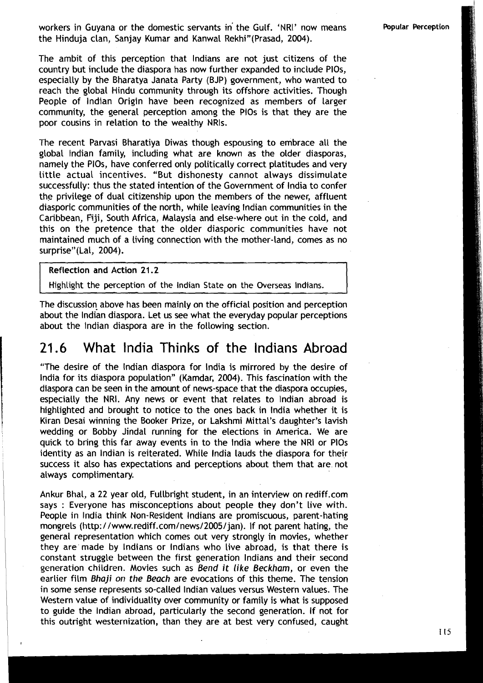workers in Guyana or the domestic servants in' the Gulf. 'NRI' now means the Hinduia clan, Sanjay Kumar and Kanwal Rekhi"(Prasad, 2004).

Popular Perception

The ambit of this perception that lndians are not just citizens of the country but include the diaspora has now further expanded to include PlOs, especially by the Bharatya Janata Party (BJP) government, who wanted to reach the global Hindu community through its offshore activities. Though People of lndian Origin have been recognized as members of larger community, the general perception among the PlOs is that they are the poor cousins in relation to the wealthy NRls.

The recent Parvasi Bharatiya Diwas though espousing to embrace all the global lndian family, including what are known as the older diasporas, namely the PlOs, have conferred only politically correct platitudes and very little actual incentives. "But dishonesty cannot always dissimulate successfully: thus the stated intention of the Government of lndia to confer the privilege of dual citizenship upon the members of the newer, affluent diasporic communities of the north, while leaving lndian communities in the Caribbean, Fiji, South Africa, Malaysia and else-where out in the cold, and this on the pretence that the older diasporic communities have not maintained much of a living connection with the mother-land, comes as no surprise"(Lal, 2004).

Reflection and Action 21.2

Highlight the perception of the lndian State on the Overseas Indians.

The discussion above has been mainly on the official position and perception about the lndian diaspora. Let us see what the everyday popular perceptions about the lndian diaspora are in the following section.

### 21.6 What lndia Thinks of the lndians Abroad

"The desire of the lndian diaspora for lndia is mirrored by the desire of lndia for its diaspora population" (Kamdar, **2004).** This fascination with the diaspora can be seen in the amount of news-space that the diaspora occupies, especially the NRI. Any news or event that relates to lndian abroad is highlighted and brought to notice to the ones back in lndia whether it is Kiran Desai winning the Booker Prize, or Lakshmi Mittal's daughter's lavish wedding or Bobby Jindal running for the elections in America. We are quick to bring this far away events in to the lndia where the NRI or PlOs identity as an lndian is reiterated. While lndia lauds the diaspora for their success it also has expectations and perceptions about them that are not always complimentary.

Ankur Bhal, a **22** year old, Fullbright student, in an interview on rediff.com says : Everyone has misconceptions about people they don't live with. People in lndia think Non-Resident lndians are promiscuous, parent-hating mongrels (http: **1 /www.rediff.com/news/2005/jan).** If not parent hating, the general representation which comes out very strongly in movies, whether they are made by lndians or lndians who live abroad, is that there is constant struggle between the first generation lndians and their second generation children. Movies such as Bend it like Beckham, or even the earlier film Bhaji *on* the Beach are evocations of this theme. The tension in some sense represents so-called lndian values versus Western values. The Western value of individuality over community or family is what is supposed to guide the lndian abroad, particularly the second generation. If not for this outright westernization, than they are at best very confused, caught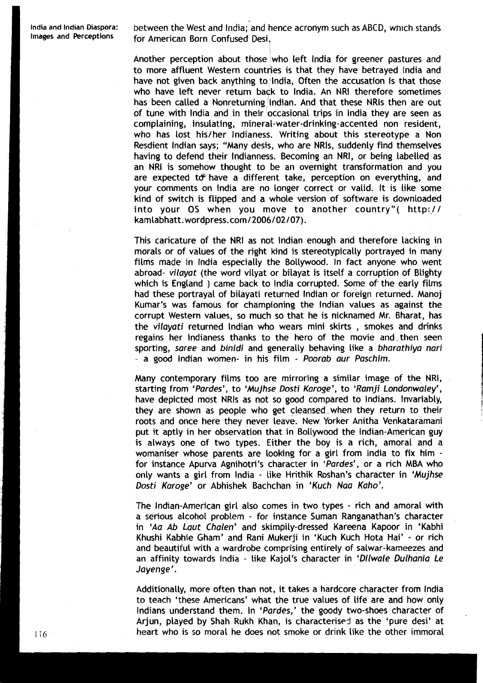**lndia and lndian Diaspora:** between the West and India; and hence acronym such as ABCD, which stands for American Born Confused Desi.

> Another perception about those who left lndia for greener pastures and to more affluent Western countries is that they have betrayed India and have not given back anything to India, Often the accusation is that those who have left never return badk to India. An NRI therefore sometimes has been called a Nonreturning Indian. And that these NRIs then are out of tune with lndia and in their occasional trips in lndia they are seen as complaining, insulating, mineral-water-drinking-accented non resident, who has lost his/her Indianess. Writing about this stereotype a Non Resdient lndian says; "Many desis, who are NRls, suddenly find themselves having to defend their Indianness. Becoming an NRI, or being labelled as an NRI is somehow thought to be an overnight transformation and you are expected to have a different take, perception on everything, and your comments on lndia are no longer correct or valid. It is like some kind of switch is flipped and a whole version of software is downloaded into your OS when you move to another country"(  $http://$ kamlabhatt. **wordpress.com/2006/02/07).**

> This caricature of the NRI as not lndian enough and therefore lacking in morals or of values of the right kind is stereotypically portrayed in many films made in lndia especially the Bollywood. In fact anyone who went abroad- vilayat (the word vilyat or bilayat is itself a corruption of Blighty which is England ) came back to lndia corrupted. Some of' the early films had these portrayal of bilayati returned lndian or foreign returned. Manoj Kumar's was famous for championing the lndian values as against the corrupt Western values, so much so that he is nicknamed Mr. Bharat, has the vilayati returned lndian who wears mini skirts , smokes and drinks regains her lndianess thanks to the hero of the movie and. then seen sporting, saree and binidi and generally behaving like a bharathiya nari - a good lndian women- in his film - Poorab aur Paschim.

> Many contemporary films too are mirroring a similar image of the NRI, starting from 'Pardes', to 'Mujhse Dosti Karoge', to 'Ramji Londonwaley', have depicted most NRls as not so good compared to Indians. Invariably, they are shown as people who get cleansed-when they return to their roots and once here they never leave. New Yorker Anitha Venkataramani put it aptly in her observation that in Bollywood the Indian-American guy is always one of two types. Either the boy is a rich, amoral and a womaniser whose parents are looking for a girl from lndia to fix him for instance Apurva Agnihotri's character in 'Pardes', or a rich MBA who only wants a girl from lndia - like Hrithik Roshan's character in 'Mujhse Dosti Karoge' or Abhishek Bachchan in 'Kuch Naa Kaho'.

> The Indian-American girl also comes in two types - rich and amoral with a serious alcohol problem - for instance Suman Ranganathan's character in 'Aa Ab Laut Chalen' and skimpily-dressed Kareena Kapoor in 'Kabhi Khushi Kabhie Gham' and Rani Mukerji in 'Kuch Kuch Hota Hai' - or rich and beautiful with a wardrobe comprising entirely of salwar-kaneezes and an affinity towards India - like Kajol's character in 'Dilwale Dulhania Le Jayenge'.

> Additionally, more often than not, it takes a hardcore character from lndia to teach 'these Americans' what the true values of life are and how only Indians understand them. In 'Pardes,' the goody two-shoes character of Arjun, played by Shah Rukh Khan, is characterised as the 'pure desi' at heart who is so moral he does not smoke or drink like the other immoral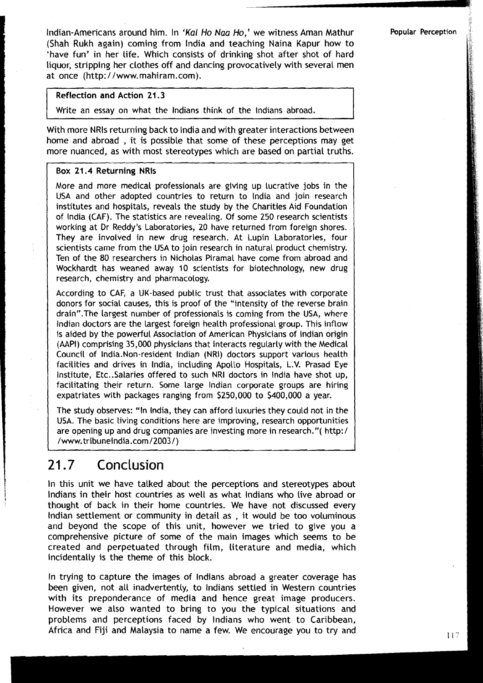Indian-Americans around him. In **'Kal** Ho Naa Ho,' we witness Aman Mathur **Popular Perception**  (Shah Rukh again) coming from lndia and teaching Naina Kapur how to 'have fun' in her life. Which consists of drinking shot after shot of hard liquor, stripping her clothes off and dancing provocatively with several men at once (http://www.mahiram.com).

### Reflection and Action **21.3**

Write an essay on what the lndians think of the lndians abroad.

With more NRls returning back to lndia and with greater interactions between home and abroad , it is possible that some of these perceptions may get more nuanced, as with most stereotypes which are based on partial truths.

### Box **21.4** Returning NRls

More and more medical professionals are giving up lucrative jobs in the USA and other adopted countries to return to lndia and join research institutes and hospitals, reveals the study by the Charities Aid Foundation of lndia (CAF). The statistics are revealing. Of some 250 research scientists working at Dr Reddy's Laboratories, 20 have returned from foreign shores. They are involved in new drug research. At Lupin Laboratories, four scientists came from the USA to join research in natural product chemistry. Ten of the 80 researchers in Nicholas Piramal have come from abroad and Wockhardt has weaned away 10 scientists for biotechnology, new drug research, chemistry and pharmacology.

According to CAF, a UK-based public trust that associates with corporate donors for social causes, this is proof of the "intensity of the reverse brain drain". The largest number of professionals is coming from the USA, where lndian doctors are the Largest foreign health professional group. This inflow is aided by the powerful Association of American Physicians of lndian origin (AAPI) comprising 35,000 physicians that interacts regularly with the Medical Council of India.Non-resident lndian (NRI) doctors support various health facilities and drives in India, including Apollo Hospitals, L.V. Prasad Eye Institute, Etc..Salaries offered to such NRI doctors in lndia have shot up, facilitating their return. Some large lndian corporate groups are hiring expatriates with packages ranging from \$250,000 to \$400,000 a year.

The study observes: "In India, they can afford luxuries they could not in the USA. The basic living conditions here are improving, research opportunities are opening up and drug companies are investing more in research."( http:/ USA. The basic tiving conditions<br>are opening up and drug compan<br>/www.tribuneindia.com/2003/)

## I 21.7 **Conclusion**

In this unit we have talked about the perceptions and stereotypes about 1 Indians in their host countries as well as what Indians who live abroad or thought of back in their home countries. We have not discussed every lndian settlement or community in detail as , it would be too voluminous and beyond the scope of this unit, however we tried to give you a comprehensive picture of some of the main images which seems to be created and perpetuated through film, literature and media, which incidentally is the theme of this block.

In trying to capture the images of lndians abroad a greater coverage has been given, not all inadvertently, to lndians settled in Western countries with its preponderance of media and hence great image producers. However we also wanted to bring to you the typical situations and problems and perceptions faced by lndians who went to Caribbean, Africa and Fiji and Malaysia to name a few. We encourage you to try and